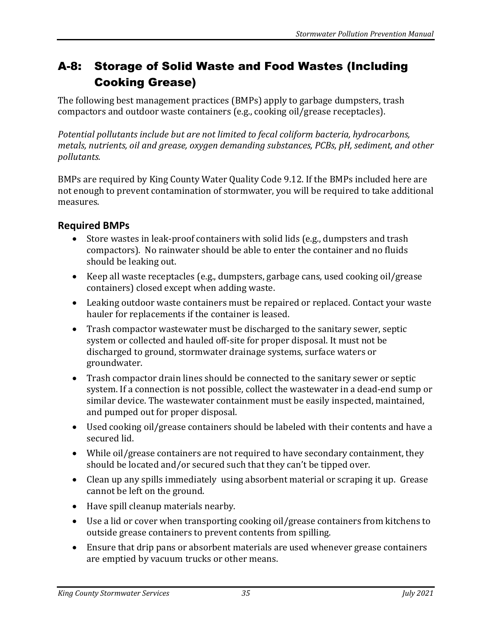## A-8: Storage of Solid Waste and Food Wastes (Including Cooking Grease)

The following best management practices (BMPs) apply to garbage dumpsters, trash compactors and outdoor waste containers (e.g., cooking oil/grease receptacles).

*Potential pollutants include but are not limited to fecal coliform bacteria, hydrocarbons, metals, nutrients, oil and grease, oxygen demanding substances, PCBs, pH, sediment, and other pollutants.*

BMPs are required by King County Water Quality Code 9.12. If the BMPs included here are not enough to prevent contamination of stormwater, you will be required to take additional measures.

## **Required BMPs**

- Store wastes in leak-proof containers with solid lids (e.g., dumpsters and trash compactors). No rainwater should be able to enter the container and no fluids should be leaking out.
- Keep all waste receptacles (e.g., dumpsters, garbage cans, used cooking oil/grease containers) closed except when adding waste.
- Leaking outdoor waste containers must be repaired or replaced. Contact your waste hauler for replacements if the container is leased.
- Trash compactor wastewater must be discharged to the sanitary sewer, septic system or collected and hauled off-site for proper disposal. It must not be discharged to ground, stormwater drainage systems, surface waters or groundwater.
- Trash compactor drain lines should be connected to the sanitary sewer or septic system. If a connection is not possible, collect the wastewater in a dead-end sump or similar device. The wastewater containment must be easily inspected, maintained, and pumped out for proper disposal.
- Used cooking oil/grease containers should be labeled with their contents and have a secured lid.
- While oil/grease containers are not required to have secondary containment, they should be located and/or secured such that they can't be tipped over.
- Clean up any spills immediately using absorbent material or scraping it up. Grease cannot be left on the ground.
- Have spill cleanup materials nearby.
- Use a lid or cover when transporting cooking oil/grease containers from kitchens to outside grease containers to prevent contents from spilling.
- Ensure that drip pans or absorbent materials are used whenever grease containers are emptied by vacuum trucks or other means.